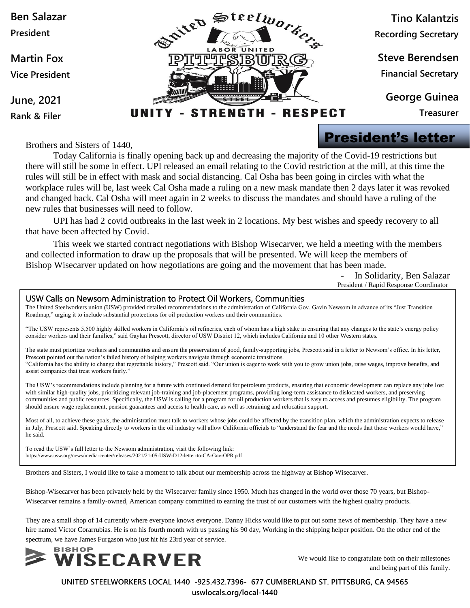

Brothers and Sisters of 1440,

Today California is finally opening back up and decreasing the majority of the Covid-19 restrictions but there will still be some in effect. UPI released an email relating to the Covid restriction at the mill, at this time the rules will still be in effect with mask and social distancing. Cal Osha has been going in circles with what the workplace rules will be, last week Cal Osha made a ruling on a new mask mandate then 2 days later it was revoked and changed back. Cal Osha will meet again in 2 weeks to discuss the mandates and should have a ruling of the new rules that businesses will need to follow.

UPI has had 2 covid outbreaks in the last week in 2 locations. My best wishes and speedy recovery to all that have been affected by Covid.

This week we started contract negotiations with Bishop Wisecarver, we held a meeting with the members and collected information to draw up the proposals that will be presented. We will keep the members of Bishop Wisecarver updated on how negotiations are going and the movement that has been made.

> In Solidarity, Ben Salazar President / Rapid Response Coordinator

#### USW Calls on Newsom Administration to Protect Oil Workers, Communities

The United Steelworkers union (USW) provided detailed recommendations to the administration of California Gov. Gavin Newsom in advance of its "Just Transition Roadmap," urging it to include substantial protections for oil production workers and their communities.

"The USW represents 5,500 highly skilled workers in California's oil refineries, each of whom has a high stake in ensuring that any changes to the state's energy policy consider workers and their families," said Gaylan Prescott, director of USW District 12, which includes California and 10 other Western states.

The state must prioritize workers and communities and ensure the preservation of good, family-supporting jobs, Prescott said in a letter to Newsom's office. In his letter, Prescott pointed out the nation's failed history of helping workers navigate through economic transitions. "California has the ability to change that regrettable history," Prescott said. "Our union is eager to work with you to grow union jobs, raise wages, improve benefits, and assist companies that treat workers fairly."

The USW's recommendations include planning for a future with continued demand for petroleum products, ensuring that economic development can replace any jobs lost with similar high-quality jobs, prioritizing relevant job-training and job-placement programs, providing long-term assistance to dislocated workers, and preserving communities and public resources. Specifically, the USW is calling for a program for oil production workers that is easy to access and presumes eligibility. The program should ensure wage replacement, pension guarantees and access to health care, as well as retraining and relocation support.

Most of all, to achieve these goals, the administration must talk to workers whose jobs could be affected by the transition plan, which the administration expects to release in July, Prescott said. Speaking directly to workers in the oil industry will allow California officials to "understand the fear and the needs that those workers would have," he said.

To read the USW's full letter to the Newsom administration, visit the following link: https://www.usw.org/news/media-center/releases/2021/21-05-USW-D12-letter-to-CA-Gov-OPR.pdf

Brothers and Sisters, I would like to take a moment to talk about our membership across the highway at Bishop Wisecarver.

Bishop-Wisecarver has been privately held by the Wisecarver family since 1950. Much has changed in the world over those 70 years, but Bishop-Wisecarver remains a family-owned, American company committed to earning the trust of our customers with the highest quality products.

They are a small shop of 14 currently where everyone knows everyone. Danny Hicks would like to put out some news of membership. They have a new hire named Victor Corarrubias. He is on his fourth month with us passing his 90 day, Working in the shipping helper position. On the other end of the spectrum, we have James Furgason who just hit his 23rd year of service.



We would like to congratulate both on their milestones and being part of this family.

**UNITED STEELWORKERS LOCAL 1440 -925.432.7396- 677 CUMBERLAND ST. PITTSBURG, CA 94565**

**uswlocals.org/local-1440**